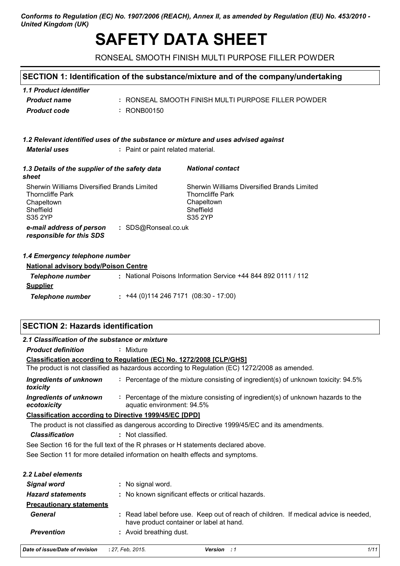## *Conforms to Regulation (EC) No. 1907/2006 (REACH), Annex II, as amended by Regulation (EU) No. 453/2010 - United Kingdom (UK)*

# **SAFETY DATA SHEET**

RONSEAL SMOOTH FINISH MULTI PURPOSE FILLER POWDER

# **SECTION 1: Identification of the substance/mixture and of the company/undertaking**

| 1.1 Product identifier |                                                     |
|------------------------|-----------------------------------------------------|
| <b>Product name</b>    | : RONSEAL SMOOTH FINISH MULTI PURPOSE FILLER POWDER |
| Product code           | : RONB00150                                         |

| 1.2 Relevant identified uses of the substance or mixture and uses advised against |
|-----------------------------------------------------------------------------------|
|-----------------------------------------------------------------------------------|

*Material uses* **:** Paint or paint related material.

| 1.3 Details of the supplier of the safety data<br>sheet                                                             | <b>National contact</b>                                                                                             |  |
|---------------------------------------------------------------------------------------------------------------------|---------------------------------------------------------------------------------------------------------------------|--|
| <b>Sherwin Williams Diversified Brands Limited</b><br><b>Thorncliffe Park</b><br>Chapeltown<br>Sheffield<br>S35 2YP | <b>Sherwin Williams Diversified Brands Limited</b><br><b>Thorncliffe Park</b><br>Chapeltown<br>Sheffield<br>S35 2YP |  |
| : SDS@Ronseal.co.uk<br>e-mail address of person<br>responsible for this SDS                                         |                                                                                                                     |  |
| 1.4 Emergency telephone number<br><b>National advisory body/Poison Centre</b>                                       |                                                                                                                     |  |

| <b>Hauvillai auvisviv bouvil visvil ocillic</b>               |
|---------------------------------------------------------------|
| : National Poisons Information Service +44 844 892 0111 / 112 |
|                                                               |
| $\div$ +44 (0)114 246 7171 (08:30 - 17:00)                    |
|                                                               |

# **SECTION 2: Hazards identification**

| 2.1 Classification of the substance or mixture |                                                                                                                                  |
|------------------------------------------------|----------------------------------------------------------------------------------------------------------------------------------|
| <b>Product definition</b>                      | : Mixture                                                                                                                        |
|                                                | Classification according to Regulation (EC) No. 1272/2008 [CLP/GHS]                                                              |
|                                                | The product is not classified as hazardous according to Regulation (EC) 1272/2008 as amended.                                    |
| <b>Ingredients of unknown</b><br>toxicity      | : Percentage of the mixture consisting of ingredient(s) of unknown toxicity: 94.5%                                               |
| Ingredients of unknown<br>ecotoxicity          | : Percentage of the mixture consisting of ingredient(s) of unknown hazards to the<br>aquatic environment: 94.5%                  |
|                                                | <b>Classification according to Directive 1999/45/EC [DPD]</b>                                                                    |
|                                                | The product is not classified as dangerous according to Directive 1999/45/EC and its amendments.                                 |
| <b>Classification</b>                          | : Not classified.                                                                                                                |
|                                                | See Section 16 for the full text of the R phrases or H statements declared above.                                                |
|                                                | See Section 11 for more detailed information on health effects and symptoms.                                                     |
| 2.2 Label elements                             |                                                                                                                                  |
| <b>Signal word</b>                             | : No signal word.                                                                                                                |
| <b>Hazard statements</b>                       | : No known significant effects or critical hazards.                                                                              |
| <b>Precautionary statements</b>                |                                                                                                                                  |
| <b>General</b>                                 | : Read label before use. Keep out of reach of children. If medical advice is needed,<br>have product container or label at hand. |
| <b>Prevention</b>                              | : Avoid breathing dust.                                                                                                          |
| Date of issue/Date of revision                 | 1/11<br>: 27, Feb. 2015.<br>Version : 1                                                                                          |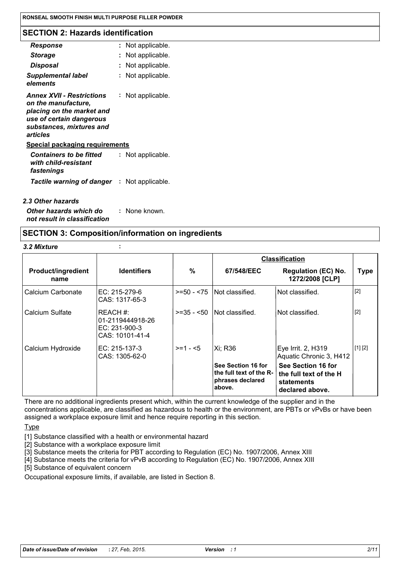#### **SECTION 2: Hazards identification**

| : Not applicable.                                  |
|----------------------------------------------------|
| Not applicable.                                    |
| Not applicable.                                    |
| Not applicable.                                    |
| Not applicable.<br>placing on the market and       |
| <b>Special packaging requirements</b>              |
| Not applicable.                                    |
| <b>Tactile warning of danger : Not applicable.</b> |
|                                                    |

# *2.3 Other hazards*

*Other hazards which do* **:** *not result in classification* : None known.

# **SECTION 3: Composition/information on ingredients**

#### *3.2 Mixture* **:**

|                                   |                                                                    |              | <b>Classification</b>                                                       |                                                                               |             |
|-----------------------------------|--------------------------------------------------------------------|--------------|-----------------------------------------------------------------------------|-------------------------------------------------------------------------------|-------------|
| <b>Product/ingredient</b><br>name | <b>Identifiers</b>                                                 | %            | 67/548/EEC                                                                  | <b>Regulation (EC) No.</b><br>1272/2008 [CLP]                                 | <b>Type</b> |
| Calcium Carbonate                 | EC: 215-279-6<br>CAS: 1317-65-3                                    | $>= 50 - 75$ | Not classified.                                                             | Not classified.                                                               | $[2]$       |
| Calcium Sulfate                   | REACH #:<br>01-2119444918-26<br>$EC: 231-900-3$<br>CAS: 10101-41-4 | $>=35 - 50$  | Not classified.                                                             | Not classified.                                                               | $[2]$       |
| Calcium Hydroxide                 | EC: 215-137-3<br>CAS: 1305-62-0                                    | $>= 1 - 5$   | Xi: R36                                                                     | Eye Irrit. 2, H319<br>Aquatic Chronic 3, H412                                 | [1] [2]     |
|                                   |                                                                    |              | See Section 16 for<br>the full text of the R-<br>phrases declared<br>above. | See Section 16 for<br>the full text of the H<br>statements<br>declared above. |             |

There are no additional ingredients present which, within the current knowledge of the supplier and in the concentrations applicable, are classified as hazardous to health or the environment, are PBTs or vPvBs or have been assigned a workplace exposure limit and hence require reporting in this section.

**Type** 

[1] Substance classified with a health or environmental hazard

- [2] Substance with a workplace exposure limit
- [3] Substance meets the criteria for PBT according to Regulation (EC) No. 1907/2006, Annex XIII

[4] Substance meets the criteria for vPvB according to Regulation (EC) No. 1907/2006, Annex XIII

[5] Substance of equivalent concern

Occupational exposure limits, if available, are listed in Section 8.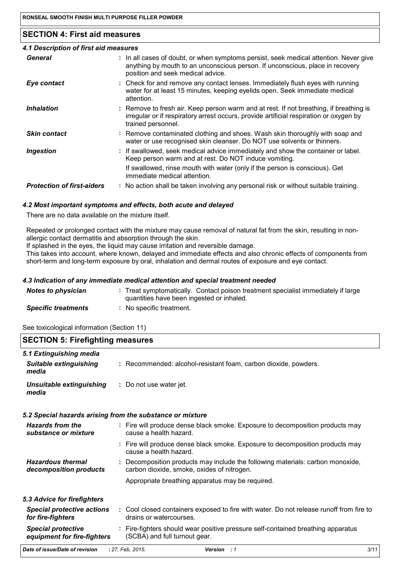# **SECTION 4: First aid measures**

| 4.1 Description of first aid measures |                                                                                                                                                                                                             |
|---------------------------------------|-------------------------------------------------------------------------------------------------------------------------------------------------------------------------------------------------------------|
| General                               | : In all cases of doubt, or when symptoms persist, seek medical attention. Never give<br>anything by mouth to an unconscious person. If unconscious, place in recovery<br>position and seek medical advice. |
| Eye contact                           | : Check for and remove any contact lenses. Immediately flush eyes with running<br>water for at least 15 minutes, keeping eyelids open. Seek immediate medical<br>attention.                                 |
| <b>Inhalation</b>                     | : Remove to fresh air. Keep person warm and at rest. If not breathing, if breathing is<br>irregular or if respiratory arrest occurs, provide artificial respiration or oxygen by<br>trained personnel.      |
| <b>Skin contact</b>                   | : Remove contaminated clothing and shoes. Wash skin thoroughly with soap and<br>water or use recognised skin cleanser. Do NOT use solvents or thinners.                                                     |
| <b>Ingestion</b>                      | : If swallowed, seek medical advice immediately and show the container or label.<br>Keep person warm and at rest. Do NOT induce vomiting.                                                                   |
|                                       | If swallowed, rinse mouth with water (only if the person is conscious). Get<br>immediate medical attention.                                                                                                 |
| <b>Protection of first-aiders</b>     | : No action shall be taken involving any personal risk or without suitable training.                                                                                                                        |
|                                       |                                                                                                                                                                                                             |

#### *4.2 Most important symptoms and effects, both acute and delayed*

There are no data available on the mixture itself.

Repeated or prolonged contact with the mixture may cause removal of natural fat from the skin, resulting in nonallergic contact dermatitis and absorption through the skin.

If splashed in the eyes, the liquid may cause irritation and reversible damage.

This takes into account, where known, delayed and immediate effects and also chronic effects of components from short-term and long-term exposure by oral, inhalation and dermal routes of exposure and eye contact.

#### *4.3 Indication of any immediate medical attention and special treatment needed*

| <b>Notes to physician</b>  | : Treat symptomatically. Contact poison treatment specialist immediately if large<br>quantities have been ingested or inhaled. |
|----------------------------|--------------------------------------------------------------------------------------------------------------------------------|
| <b>Specific treatments</b> | No specific treatment.                                                                                                         |

See toxicological information (Section 11)

| <b>SECTION 5: Firefighting measures</b>                           |                                                                                                                              |  |
|-------------------------------------------------------------------|------------------------------------------------------------------------------------------------------------------------------|--|
| 5.1 Extinguishing media<br><b>Suitable extinguishing</b><br>media | : Recommended: alcohol-resistant foam, carbon dioxide, powders.                                                              |  |
| Unsuitable extinguishing<br>media                                 | : Do not use water jet.                                                                                                      |  |
|                                                                   | 5.2 Special hazards arising from the substance or mixture                                                                    |  |
| <b>Hazards from the</b><br>substance or mixture                   | : Fire will produce dense black smoke. Exposure to decomposition products may<br>cause a health hazard.                      |  |
|                                                                   | : Fire will produce dense black smoke. Exposure to decomposition products may<br>cause a health hazard.                      |  |
| <b>Hazardous thermal</b><br>decomposition products                | : Decomposition products may include the following materials: carbon monoxide,<br>carbon dioxide, smoke, oxides of nitrogen. |  |
|                                                                   | Appropriate breathing apparatus may be required.                                                                             |  |
| 5.3 Advice for firefighters                                       |                                                                                                                              |  |
| <b>Special protective actions</b><br>for fire-fighters            | : Cool closed containers exposed to fire with water. Do not release runoff from fire to<br>drains or watercourses.           |  |
| <b>Special protective</b><br>equipment for fire-fighters          | : Fire-fighters should wear positive pressure self-contained breathing apparatus<br>(SCBA) and full turnout gear.            |  |
| Date of issue/Date of revision                                    | 3/11<br>: 27, Feb. 2015.<br>Version : 1                                                                                      |  |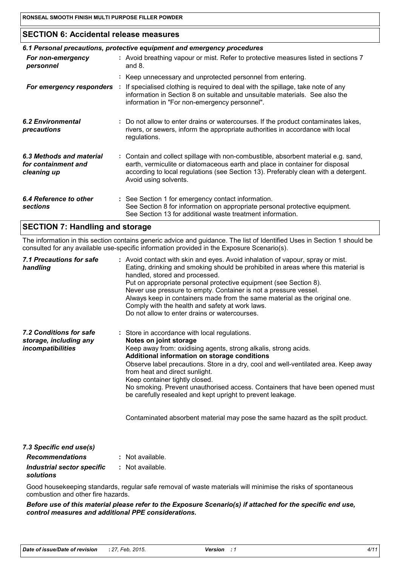# **SECTION 6: Accidental release measures**

| 6.1 Personal precautions, protective equipment and emergency procedures |  |                                                                                                                                                                                                                                                                                    |  |
|-------------------------------------------------------------------------|--|------------------------------------------------------------------------------------------------------------------------------------------------------------------------------------------------------------------------------------------------------------------------------------|--|
| For non-emergency<br>personnel                                          |  | : Avoid breathing vapour or mist. Refer to protective measures listed in sections 7<br>and $8$ .                                                                                                                                                                                   |  |
|                                                                         |  | : Keep unnecessary and unprotected personnel from entering.                                                                                                                                                                                                                        |  |
| For emergency responders :                                              |  | If specialised clothing is required to deal with the spillage, take note of any<br>information in Section 8 on suitable and unsuitable materials. See also the<br>information in "For non-emergency personnel".                                                                    |  |
| <b>6.2 Environmental</b><br>precautions                                 |  | : Do not allow to enter drains or watercourses. If the product contaminates lakes,<br>rivers, or sewers, inform the appropriate authorities in accordance with local<br>regulations.                                                                                               |  |
| 6.3 Methods and material<br>for containment and<br>cleaning up          |  | : Contain and collect spillage with non-combustible, absorbent material e.g. sand,<br>earth, vermiculite or diatomaceous earth and place in container for disposal<br>according to local regulations (see Section 13). Preferably clean with a detergent.<br>Avoid using solvents. |  |
| 6.4 Reference to other<br><b>sections</b>                               |  | : See Section 1 for emergency contact information.<br>See Section 8 for information on appropriate personal protective equipment.<br>See Section 13 for additional waste treatment information.                                                                                    |  |

# **SECTION 7: Handling and storage**

The information in this section contains generic advice and guidance. The list of Identified Uses in Section 1 should be consulted for any available use-specific information provided in the Exposure Scenario(s).

| 7.1 Precautions for safe<br>handling                                   | : Avoid contact with skin and eyes. Avoid inhalation of vapour, spray or mist.<br>Eating, drinking and smoking should be prohibited in areas where this material is<br>handled, stored and processed.<br>Put on appropriate personal protective equipment (see Section 8).<br>Never use pressure to empty. Container is not a pressure vessel.<br>Always keep in containers made from the same material as the original one.<br>Comply with the health and safety at work laws.<br>Do not allow to enter drains or watercourses.                                                        |
|------------------------------------------------------------------------|-----------------------------------------------------------------------------------------------------------------------------------------------------------------------------------------------------------------------------------------------------------------------------------------------------------------------------------------------------------------------------------------------------------------------------------------------------------------------------------------------------------------------------------------------------------------------------------------|
| 7.2 Conditions for safe<br>storage, including any<br>incompatibilities | : Store in accordance with local regulations.<br>Notes on joint storage<br>Keep away from: oxidising agents, strong alkalis, strong acids.<br>Additional information on storage conditions<br>Observe label precautions. Store in a dry, cool and well-ventilated area. Keep away<br>from heat and direct sunlight.<br>Keep container tightly closed.<br>No smoking. Prevent unauthorised access. Containers that have been opened must<br>be carefully resealed and kept upright to prevent leakage.<br>Contaminated absorbent material may pose the same hazard as the spilt product. |
| 7.3 Specific end use(s)                                                |                                                                                                                                                                                                                                                                                                                                                                                                                                                                                                                                                                                         |
| <b>Recommendations</b>                                                 | : Not available.                                                                                                                                                                                                                                                                                                                                                                                                                                                                                                                                                                        |
| Industrial sector specific<br>solutions                                | : Not available.                                                                                                                                                                                                                                                                                                                                                                                                                                                                                                                                                                        |
|                                                                        | Good housekeeping standards, regular safe removal of waste materials will minimise the risks of spontaneous                                                                                                                                                                                                                                                                                                                                                                                                                                                                             |

combustion and other fire hazards.

*Before use of this material please refer to the Exposure Scenario(s) if attached for the specific end use, control measures and additional PPE considerations.*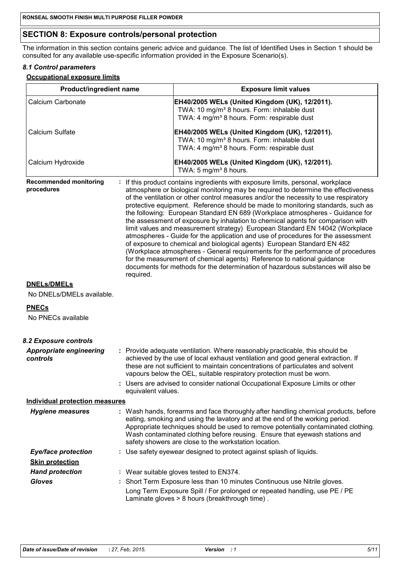# **SECTION 8: Exposure controls/personal protection**

The information in this section contains generic advice and guidance. The list of Identified Uses in Section 1 should be consulted for any available use-specific information provided in the Exposure Scenario(s).

#### *8.1 Control parameters*

**Occupational exposure limits**

| <b>Product/ingredient name</b>                  |                    | <b>Exposure limit values</b>                                                                                                                                                                                                                                                                                                                                                                                                                                                                                                                                                                                                                                                                                                                                                                                                                                                                                                                                                                                          |
|-------------------------------------------------|--------------------|-----------------------------------------------------------------------------------------------------------------------------------------------------------------------------------------------------------------------------------------------------------------------------------------------------------------------------------------------------------------------------------------------------------------------------------------------------------------------------------------------------------------------------------------------------------------------------------------------------------------------------------------------------------------------------------------------------------------------------------------------------------------------------------------------------------------------------------------------------------------------------------------------------------------------------------------------------------------------------------------------------------------------|
| Calcium Carbonate                               |                    | EH40/2005 WELs (United Kingdom (UK), 12/2011).<br>TWA: 10 mg/m <sup>3</sup> 8 hours. Form: inhalable dust<br>TWA: 4 mg/m <sup>3</sup> 8 hours. Form: respirable dust                                                                                                                                                                                                                                                                                                                                                                                                                                                                                                                                                                                                                                                                                                                                                                                                                                                  |
| Calcium Sulfate                                 |                    | EH40/2005 WELs (United Kingdom (UK), 12/2011).<br>TWA: 10 mg/m <sup>3</sup> 8 hours. Form: inhalable dust<br>TWA: 4 mg/m <sup>3</sup> 8 hours. Form: respirable dust                                                                                                                                                                                                                                                                                                                                                                                                                                                                                                                                                                                                                                                                                                                                                                                                                                                  |
| Calcium Hydroxide                               |                    | EH40/2005 WELs (United Kingdom (UK), 12/2011).<br>TWA: 5 mg/m <sup>3</sup> 8 hours.                                                                                                                                                                                                                                                                                                                                                                                                                                                                                                                                                                                                                                                                                                                                                                                                                                                                                                                                   |
| <b>Recommended monitoring</b><br>procedures     | required.          | : If this product contains ingredients with exposure limits, personal, workplace<br>atmosphere or biological monitoring may be required to determine the effectiveness<br>of the ventilation or other control measures and/or the necessity to use respiratory<br>protective equipment. Reference should be made to monitoring standards, such as<br>the following: European Standard EN 689 (Workplace atmospheres - Guidance for<br>the assessment of exposure by inhalation to chemical agents for comparison with<br>limit values and measurement strategy) European Standard EN 14042 (Workplace<br>atmospheres - Guide for the application and use of procedures for the assessment<br>of exposure to chemical and biological agents) European Standard EN 482<br>(Workplace atmospheres - General requirements for the performance of procedures<br>for the measurement of chemical agents) Reference to national guidance<br>documents for methods for the determination of hazardous substances will also be |
| <b>DNELs/DMELs</b><br>No DNELs/DMELs available. |                    |                                                                                                                                                                                                                                                                                                                                                                                                                                                                                                                                                                                                                                                                                                                                                                                                                                                                                                                                                                                                                       |
| <b>PNECs</b>                                    |                    |                                                                                                                                                                                                                                                                                                                                                                                                                                                                                                                                                                                                                                                                                                                                                                                                                                                                                                                                                                                                                       |
| No PNECs available                              |                    |                                                                                                                                                                                                                                                                                                                                                                                                                                                                                                                                                                                                                                                                                                                                                                                                                                                                                                                                                                                                                       |
| 8.2 Exposure controls                           |                    |                                                                                                                                                                                                                                                                                                                                                                                                                                                                                                                                                                                                                                                                                                                                                                                                                                                                                                                                                                                                                       |
| <b>Appropriate engineering</b><br>controls      |                    | : Provide adequate ventilation. Where reasonably practicable, this should be<br>achieved by the use of local exhaust ventilation and good general extraction. If<br>these are not sufficient to maintain concentrations of particulates and solvent<br>vapours below the OEL, suitable respiratory protection must be worn.                                                                                                                                                                                                                                                                                                                                                                                                                                                                                                                                                                                                                                                                                           |
|                                                 | equivalent values. | : Users are advised to consider national Occupational Exposure Limits or other                                                                                                                                                                                                                                                                                                                                                                                                                                                                                                                                                                                                                                                                                                                                                                                                                                                                                                                                        |
| <b>Individual protection measures</b>           |                    |                                                                                                                                                                                                                                                                                                                                                                                                                                                                                                                                                                                                                                                                                                                                                                                                                                                                                                                                                                                                                       |
| <b>Hygiene measures</b>                         |                    | : Wash hands, forearms and face thoroughly after handling chemical products, before<br>eating, smoking and using the lavatory and at the end of the working period.<br>Appropriate techniques should be used to remove potentially contaminated clothing.<br>Wash contaminated clothing before reusing. Ensure that eyewash stations and<br>safety showers are close to the workstation location.                                                                                                                                                                                                                                                                                                                                                                                                                                                                                                                                                                                                                     |
| <b>Eye/face protection</b>                      |                    | : Use safety eyewear designed to protect against splash of liquids.                                                                                                                                                                                                                                                                                                                                                                                                                                                                                                                                                                                                                                                                                                                                                                                                                                                                                                                                                   |
| <b>Skin protection</b>                          |                    |                                                                                                                                                                                                                                                                                                                                                                                                                                                                                                                                                                                                                                                                                                                                                                                                                                                                                                                                                                                                                       |
| <b>Hand protection</b>                          |                    | : Wear suitable gloves tested to EN374.                                                                                                                                                                                                                                                                                                                                                                                                                                                                                                                                                                                                                                                                                                                                                                                                                                                                                                                                                                               |
| <b>Gloves</b>                                   |                    | : Short Term Exposure less than 10 minutes Continuous use Nitrile gloves.<br>Long Term Exposure Spill / For prolonged or repeated handling, use PE / PE<br>Laminate gloves > 8 hours (breakthrough time).                                                                                                                                                                                                                                                                                                                                                                                                                                                                                                                                                                                                                                                                                                                                                                                                             |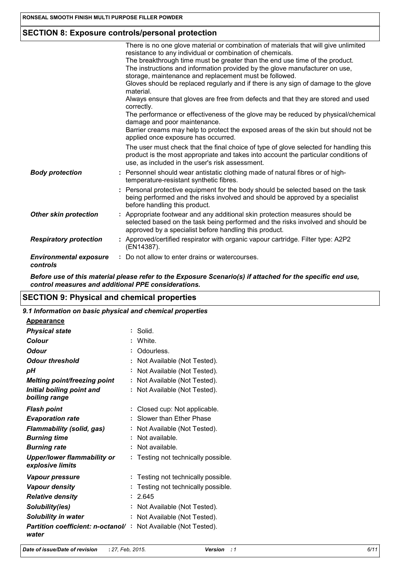# **SECTION 8: Exposure controls/personal protection**

|                                           | There is no one glove material or combination of materials that will give unlimited<br>resistance to any individual or combination of chemicals.                                                                                |
|-------------------------------------------|---------------------------------------------------------------------------------------------------------------------------------------------------------------------------------------------------------------------------------|
|                                           | The breakthrough time must be greater than the end use time of the product.<br>The instructions and information provided by the glove manufacturer on use,<br>storage, maintenance and replacement must be followed.            |
|                                           | Gloves should be replaced regularly and if there is any sign of damage to the glove<br>material.                                                                                                                                |
|                                           | Always ensure that gloves are free from defects and that they are stored and used<br>correctly.                                                                                                                                 |
|                                           | The performance or effectiveness of the glove may be reduced by physical/chemical<br>damage and poor maintenance.                                                                                                               |
|                                           | Barrier creams may help to protect the exposed areas of the skin but should not be<br>applied once exposure has occurred.                                                                                                       |
|                                           | The user must check that the final choice of type of glove selected for handling this<br>product is the most appropriate and takes into account the particular conditions of<br>use, as included in the user's risk assessment. |
| <b>Body protection</b>                    | : Personnel should wear antistatic clothing made of natural fibres or of high-<br>temperature-resistant synthetic fibres.                                                                                                       |
|                                           | : Personal protective equipment for the body should be selected based on the task<br>being performed and the risks involved and should be approved by a specialist<br>before handling this product.                             |
| <b>Other skin protection</b>              | : Appropriate footwear and any additional skin protection measures should be<br>selected based on the task being performed and the risks involved and should be<br>approved by a specialist before handling this product.       |
| <b>Respiratory protection</b>             | : Approved/certified respirator with organic vapour cartridge. Filter type: A2P2<br>(EN14387).                                                                                                                                  |
| <b>Environmental exposure</b><br>controls | : Do not allow to enter drains or watercourses.                                                                                                                                                                                 |

*Before use of this material please refer to the Exposure Scenario(s) if attached for the specific end use, control measures and additional PPE considerations.*

# **SECTION 9: Physical and chemical properties**

*9.1 Information on basic physical and chemical properties*

| <b>Appearance</b>                                      |                                        |
|--------------------------------------------------------|----------------------------------------|
| <b>Physical state</b>                                  | Solid.                                 |
| Colour                                                 | White.<br>÷                            |
| Odour                                                  | Odourless.                             |
| <b>Odour threshold</b>                                 | Not Available (Not Tested).            |
| рH                                                     | Not Available (Not Tested).<br>÷       |
| <b>Melting point/freezing point</b>                    | Not Available (Not Tested).            |
| Initial boiling point and<br>boiling range             | Not Available (Not Tested).            |
|                                                        | ÷                                      |
| <b>Flash point</b>                                     | Closed cup: Not applicable.            |
| <b>Evaporation rate</b>                                | Slower than Ether Phase                |
| <b>Flammability (solid, gas)</b>                       | Not Available (Not Tested).            |
| <b>Burning time</b>                                    | Not available.                         |
| <b>Burning rate</b>                                    | Not available.                         |
| <b>Upper/lower flammability or</b><br>explosive limits | Testing not technically possible.<br>÷ |
| Vapour pressure                                        | Testing not technically possible.      |
| <b>Vapour density</b>                                  | Testing not technically possible.      |
| <b>Relative density</b>                                | 2.645                                  |
| Solubility(ies)                                        | Not Available (Not Tested).            |
| Solubility in water                                    | Not Available (Not Tested).            |
| Partition coefficient: n-octanol/<br>water             | Not Available (Not Tested).            |

*Date of issue/Date of revision* **:** *27, Feb, 2015. Version : 1 6/11*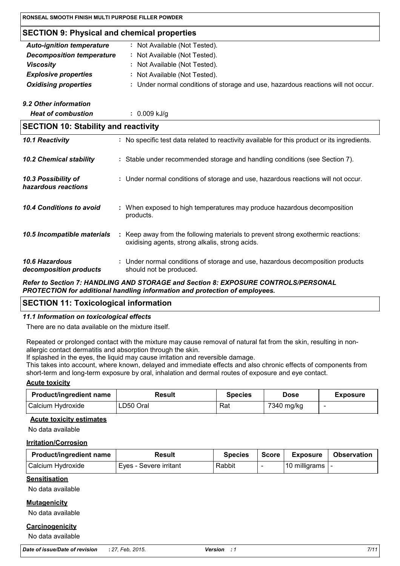| RONSEAL SMOOTH FINISH MULTI PURPOSE FILLER POWDER  |                                                                                                                                     |  |  |
|----------------------------------------------------|-------------------------------------------------------------------------------------------------------------------------------------|--|--|
| <b>SECTION 9: Physical and chemical properties</b> |                                                                                                                                     |  |  |
| <b>Auto-ignition temperature</b>                   | : Not Available (Not Tested).                                                                                                       |  |  |
| <b>Decomposition temperature</b>                   | : Not Available (Not Tested).                                                                                                       |  |  |
| <b>Viscosity</b>                                   | Not Available (Not Tested).                                                                                                         |  |  |
| <b>Explosive properties</b>                        | : Not Available (Not Tested).                                                                                                       |  |  |
| <b>Oxidising properties</b>                        | : Under normal conditions of storage and use, hazardous reactions will not occur.                                                   |  |  |
| 9.2 Other information                              |                                                                                                                                     |  |  |
| <b>Heat of combustion</b>                          | $: 0.009$ kJ/g                                                                                                                      |  |  |
| <b>SECTION 10: Stability and reactivity</b>        |                                                                                                                                     |  |  |
| 10.1 Reactivity                                    | : No specific test data related to reactivity available for this product or its ingredients.                                        |  |  |
| <b>10.2 Chemical stability</b>                     | : Stable under recommended storage and handling conditions (see Section 7).                                                         |  |  |
| 10.3 Possibility of<br>hazardous reactions         | : Under normal conditions of storage and use, hazardous reactions will not occur.                                                   |  |  |
| 10.4 Conditions to avoid                           | When exposed to high temperatures may produce hazardous decomposition<br>products.                                                  |  |  |
| 10.5 Incompatible materials                        | : Keep away from the following materials to prevent strong exothermic reactions:<br>oxidising agents, strong alkalis, strong acids. |  |  |
| 10.6 Hazardous<br>decomposition products           | Under normal conditions of storage and use, hazardous decomposition products<br>should not be produced.                             |  |  |

*Refer to Section 7: HANDLING AND STORAGE and Section 8: EXPOSURE CONTROLS/PERSONAL PROTECTION for additional handling information and protection of employees.*

# **SECTION 11: Toxicological information**

#### *11.1 Information on toxicological effects*

There are no data available on the mixture itself.

Repeated or prolonged contact with the mixture may cause removal of natural fat from the skin, resulting in nonallergic contact dermatitis and absorption through the skin.

If splashed in the eyes, the liquid may cause irritation and reversible damage.

This takes into account, where known, delayed and immediate effects and also chronic effects of components from short-term and long-term exposure by oral, inhalation and dermal routes of exposure and eye contact.

#### **Acute toxicity**

| <b>Product/ingredient name</b> | <b>Result</b> | <b>Species</b> | <b>Dose</b> | <b>Exposure</b> |
|--------------------------------|---------------|----------------|-------------|-----------------|
| Calcium Hydroxide              | ∟D50 Oral     | Rat            | 7340 mg/kg  | -               |

#### **Acute toxicity estimates**

No data available

#### **Irritation/Corrosion**

| <b>Product/ingredient name</b> | Result                 | <b>Species</b> | <b>Score</b> | <b>Exposure</b>  | <b>Observation</b> |
|--------------------------------|------------------------|----------------|--------------|------------------|--------------------|
| Calcium Hydroxide              | Eyes - Severe irritant | Rabbit         |              | 10 milligrams  - |                    |

#### **Sensitisation**

No data available

#### **Mutagenicity**

No data available

#### **Carcinogenicity**

No data available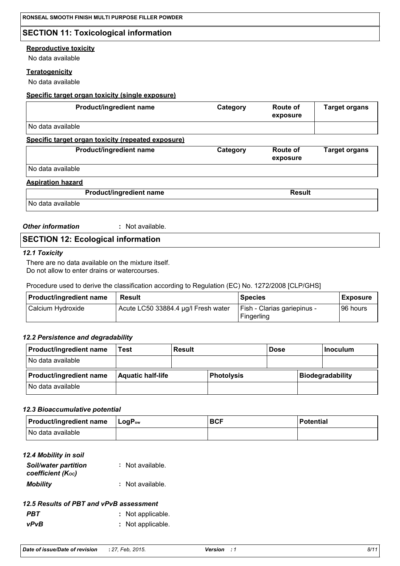# **SECTION 11: Toxicological information**

#### **Reproductive toxicity**

No data available

#### **Teratogenicity**

No data available

#### **Specific target organ toxicity (single exposure)**

| Product/ingredient name                            | Category | Route of<br>exposure        | <b>Target organs</b> |
|----------------------------------------------------|----------|-----------------------------|----------------------|
| No data available                                  |          |                             |                      |
| Specific target organ toxicity (repeated exposure) |          |                             |                      |
| Product/ingredient name                            | Category | <b>Route of</b><br>exposure | <b>Target organs</b> |
| No data available                                  |          |                             |                      |
|                                                    |          |                             |                      |

#### **Aspiration hazard**

**Product/ingredient name** Result

No data available

*Other information* **:** : Not available.

# **SECTION 12: Ecological information**

#### *12.1 Toxicity*

There are no data available on the mixture itself. Do not allow to enter drains or watercourses.

Procedure used to derive the classification according to Regulation (EC) No. 1272/2008 [CLP/GHS]

| Product/ingredient name | Result                              | <b>Species</b>                            | <b>I</b> Exposure |
|-------------------------|-------------------------------------|-------------------------------------------|-------------------|
| l Calcium Hvdroxide     | Acute LC50 33884.4 µg/l Fresh water | Fish - Clarias gariepinus -<br>Fingerling | 196 hours         |

#### *12.2 Persistence and degradability*

| <b>Product/ingredient name</b> | Test                     | <b>Result</b> |                   | <b>Dose</b> | ∣Inoculum               |
|--------------------------------|--------------------------|---------------|-------------------|-------------|-------------------------|
| No data available              |                          |               |                   |             |                         |
| <b>Product/ingredient name</b> | <b>Aquatic half-life</b> |               | <b>Photolysis</b> |             | <b>Biodegradability</b> |
| No data available              |                          |               |                   |             |                         |

#### *12.3 Bioaccumulative potential*

| $ $ Product/ingredient name $ $ LogP <sub>ow</sub> | <b>BCF</b> | <b>Potential</b> |
|----------------------------------------------------|------------|------------------|
| INo data available                                 |            |                  |

#### *12.4 Mobility in soil*

| <b>Soil/water partition</b><br>coefficient (Koc) | : Not available. |
|--------------------------------------------------|------------------|
| <b>Mobility</b>                                  | : Not available. |

# *12.5 Results of PBT and vPvB assessment*

**PBT** : Not applicable. *vPvB* **:** Not applicable.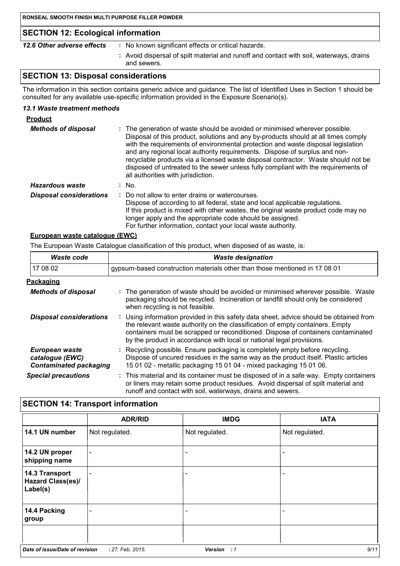# **SECTION 12: Ecological information**

| 12.6 Other adverse effects | No known significant effects or critical hazards. |
|----------------------------|---------------------------------------------------|

**:** Avoid dispersal of spilt material and runoff and contact with soil, waterways, drains and sewers.

# **SECTION 13: Disposal considerations**

The information in this section contains generic advice and guidance. The list of Identified Uses in Section 1 should be consulted for any available use-specific information provided in the Exposure Scenario(s).

#### *13.1 Waste treatment methods*

| <b>Product</b>                 |                                                                                                                                                                                                                                                                                                                                                                                                                                                                                                                                                      |
|--------------------------------|------------------------------------------------------------------------------------------------------------------------------------------------------------------------------------------------------------------------------------------------------------------------------------------------------------------------------------------------------------------------------------------------------------------------------------------------------------------------------------------------------------------------------------------------------|
| <b>Methods of disposal</b>     | : The generation of waste should be avoided or minimised wherever possible.<br>Disposal of this product, solutions and any by-products should at all times comply<br>with the requirements of environmental protection and waste disposal legislation<br>and any regional local authority requirements. Dispose of surplus and non-<br>recyclable products via a licensed waste disposal contractor. Waste should not be<br>disposed of untreated to the sewer unless fully compliant with the requirements of<br>all authorities with jurisdiction. |
| Hazardous waste                | : No.                                                                                                                                                                                                                                                                                                                                                                                                                                                                                                                                                |
| <b>Disposal considerations</b> | : Do not allow to enter drains or watercourses.<br>Dispose of according to all federal, state and local applicable regulations.<br>If this product is mixed with other wastes, the original waste product code may no<br>longer apply and the appropriate code should be assigned.<br>For further information, contact your local waste authority.                                                                                                                                                                                                   |

#### **European waste catalogue (EWC)**

The European Waste Catalogue classification of this product, when disposed of as waste, is:

| Waste code                                                         | <b>Waste designation</b>                                                                                                                                                                                                                                                                                                             |  |  |
|--------------------------------------------------------------------|--------------------------------------------------------------------------------------------------------------------------------------------------------------------------------------------------------------------------------------------------------------------------------------------------------------------------------------|--|--|
| 17 08 02                                                           | gypsum-based construction materials other than those mentioned in 17 08 01                                                                                                                                                                                                                                                           |  |  |
| Packaging                                                          |                                                                                                                                                                                                                                                                                                                                      |  |  |
| <b>Methods of disposal</b>                                         | : The generation of waste should be avoided or minimised wherever possible. Waste<br>packaging should be recycled. Incineration or landfill should only be considered<br>when recycling is not feasible.                                                                                                                             |  |  |
| <b>Disposal considerations</b>                                     | : Using information provided in this safety data sheet, advice should be obtained from<br>the relevant waste authority on the classification of empty containers. Empty<br>containers must be scrapped or reconditioned. Dispose of containers contaminated<br>by the product in accordance with local or national legal provisions. |  |  |
| European waste<br>catalogue (EWC)<br><b>Contaminated packaging</b> | : Recycling possible. Ensure packaging is completely empty before recycling.<br>Dispose of uncured residues in the same way as the product itself. Plastic articles<br>15 01 02 - metallic packaging 15 01 04 - mixed packaging 15 01 06.                                                                                            |  |  |
| <b>Special precautions</b>                                         | : This material and its container must be disposed of in a safe way. Empty containers<br>or liners may retain some product residues. Avoid dispersal of spilt material and<br>runoff and contact with soil, waterways, drains and sewers.                                                                                            |  |  |

# **SECTION 14: Transport information**

|                                                        | <b>ADR/RID</b>           | <b>IMDG</b>              | <b>IATA</b>    |
|--------------------------------------------------------|--------------------------|--------------------------|----------------|
| 14.1 UN number                                         | Not regulated.           | Not regulated.           | Not regulated. |
| 14.2 UN proper<br>shipping name                        | $\overline{\phantom{a}}$ | $\overline{\phantom{a}}$ | -              |
| 14.3 Transport<br><b>Hazard Class(es)/</b><br>Label(s) | $\overline{\phantom{0}}$ | $\overline{\phantom{a}}$ |                |
| 14.4 Packing<br>group                                  | $\overline{\phantom{0}}$ | $\overline{\phantom{0}}$ |                |
|                                                        |                          |                          |                |
| Date of issue/Date of revision                         | : 27, Feb, 2015.         | Version : 1              | 9/11           |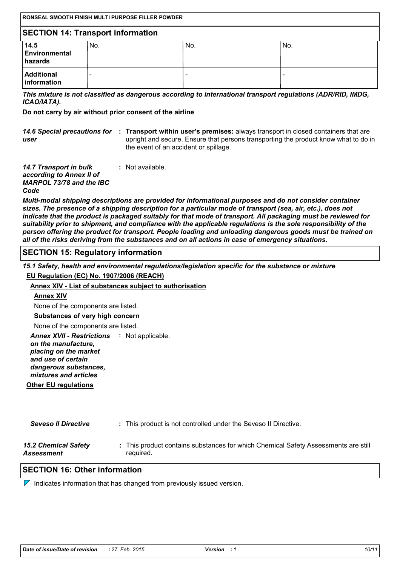| RONSEAL SMOOTH FINISH MULTI PURPOSE FILLER POWDER |     |     |     |
|---------------------------------------------------|-----|-----|-----|
| <b>SECTION 14: Transport information</b>          |     |     |     |
| 14.5<br>Environmental<br><b>hazards</b>           | No. | No. | No. |
| <b>Additional</b><br><b>linformation</b>          |     | -   |     |

*This mixture is not classified as dangerous according to international transport regulations (ADR/RID, IMDG, ICAO/IATA).*

**Do not carry by air without prior consent of the airline**

|      | 14.6 Special precautions for : Transport within user's premises: always transport in closed containers that are |
|------|-----------------------------------------------------------------------------------------------------------------|
| user | upright and secure. Ensure that persons transporting the product know what to do in                             |
|      | the event of an accident or spillage.                                                                           |

| <b>14.7 Transport in bulk</b>   | : Not available. |
|---------------------------------|------------------|
| according to Annex II of        |                  |
| <b>MARPOL 73/78 and the IBC</b> |                  |
| Code                            |                  |
|                                 |                  |

*Multi-modal shipping descriptions are provided for informational purposes and do not consider container sizes. The presence of a shipping description for a particular mode of transport (sea, air, etc.), does not indicate that the product is packaged suitably for that mode of transport. All packaging must be reviewed for suitability prior to shipment, and compliance with the applicable regulations is the sole responsibility of the person offering the product for transport. People loading and unloading dangerous goods must be trained on all of the risks deriving from the substances and on all actions in case of emergency situations.*

# **SECTION 15: Regulatory information**

*15.1 Safety, health and environmental regulations/legislation specific for the substance or mixture*

#### **EU Regulation (EC) No. 1907/2006 (REACH)**

#### **Annex XIV - List of substances subject to authorisation**

#### **Annex XIV**

None of the components are listed.

# **Substances of very high concern**

None of the components are listed.

Annex XVII - Restrictions : Not applicable.

*on the manufacture, placing on the market and use of certain dangerous substances,*

**Other EU regulations** *mixtures and articles*

| <b>Seveso II Directive</b>  | : This product is not controlled under the Seveso II Directive.                    |
|-----------------------------|------------------------------------------------------------------------------------|
| <b>15.2 Chemical Safety</b> | : This product contains substances for which Chemical Safety Assessments are still |
| Assessment                  | required.                                                                          |

# **SECTION 16: Other information**

 $\nabla$  Indicates information that has changed from previously issued version.